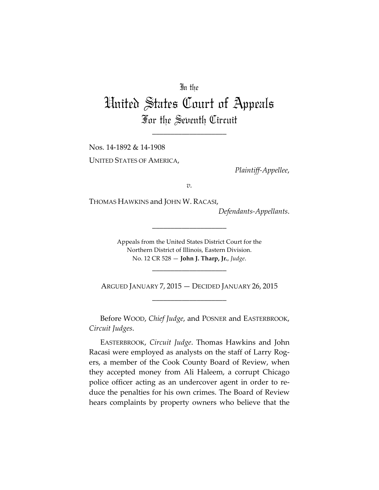## In the

## United States Court of Appeals For the Seventh Circuit

\_\_\_\_\_\_\_\_\_\_\_\_\_\_\_\_\_\_\_\_

Nos. 14-1892 & 14-1908

UNITED STATES OF AMERICA,

*Plaintiff-Appellee*,

*v.*

THOMAS HAWKINS and JOHN W. RACASI,

*Defendants-Appellants*.

Appeals from the United States District Court for the Northern District of Illinois, Eastern Division. No. 12 CR 528 — **John J. Tharp, Jr.**, *Judge*.

\_\_\_\_\_\_\_\_\_\_\_\_\_\_\_\_\_\_\_\_

\_\_\_\_\_\_\_\_\_\_\_\_\_\_\_\_\_\_\_\_

ARGUED JANUARY 7, 2015 — DECIDED JANUARY 26, 2015 \_\_\_\_\_\_\_\_\_\_\_\_\_\_\_\_\_\_\_\_

Before WOOD, *Chief Judge*, and POSNER and EASTERBROOK, *Circuit Judges*.

EASTERBROOK, *Circuit Judge*. Thomas Hawkins and John Racasi were employed as analysts on the staff of Larry Rogers, a member of the Cook County Board of Review, when they accepted money from Ali Haleem, a corrupt Chicago police officer acting as an undercover agent in order to reduce the penalties for his own crimes. The Board of Review hears complaints by property owners who believe that the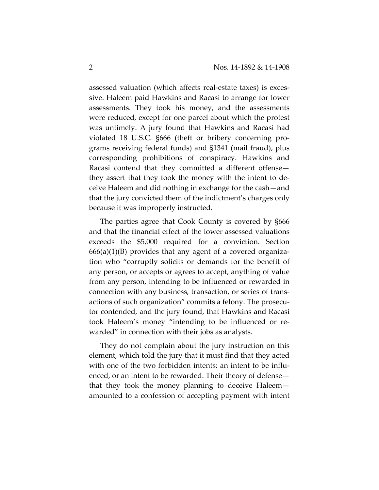assessed valuation (which affects real-estate taxes) is excessive. Haleem paid Hawkins and Racasi to arrange for lower assessments. They took his money, and the assessments were reduced, except for one parcel about which the protest was untimely. A jury found that Hawkins and Racasi had violated 18 U.S.C. §666 (theft or bribery concerning programs receiving federal funds) and §1341 (mail fraud), plus corresponding prohibitions of conspiracy. Hawkins and Racasi contend that they committed a different offense they assert that they took the money with the intent to deceive Haleem and did nothing in exchange for the cash—and that the jury convicted them of the indictment's charges only because it was improperly instructed.

The parties agree that Cook County is covered by §666 and that the financial effect of the lower assessed valuations exceeds the \$5,000 required for a conviction. Section  $666(a)(1)(B)$  provides that any agent of a covered organization who "corruptly solicits or demands for the benefit of any person, or accepts or agrees to accept, anything of value from any person, intending to be influenced or rewarded in connection with any business, transaction, or series of transactions of such organization" commits a felony. The prosecutor contended, and the jury found, that Hawkins and Racasi took Haleem's money "intending to be influenced or rewarded" in connection with their jobs as analysts.

They do not complain about the jury instruction on this element, which told the jury that it must find that they acted with one of the two forbidden intents: an intent to be influenced, or an intent to be rewarded. Their theory of defense that they took the money planning to deceive Haleem amounted to a confession of accepting payment with intent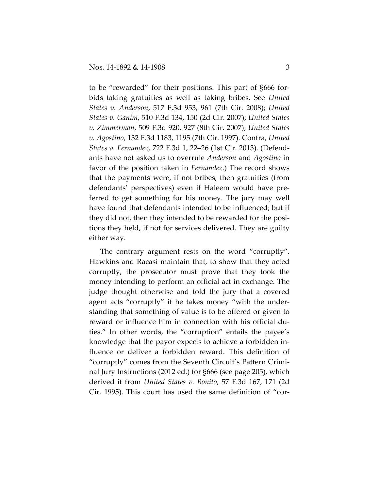to be "rewarded" for their positions. This part of §666 forbids taking gratuities as well as taking bribes. See *United States v. Anderson*, 517 F.3d 953, 961 (7th Cir. 2008); *United States v. Ganim*, 510 F.3d 134, 150 (2d Cir. 2007); *United States v. Zimmerman*, 509 F.3d 920, 927 (8th Cir. 2007); *United States v. Agostino*, 132 F.3d 1183, 1195 (7th Cir. 1997). Contra, *United States v. Fernandez*, 722 F.3d 1, 22–26 (1st Cir. 2013). (Defendants have not asked us to overrule *Anderson* and *Agostino* in favor of the position taken in *Fernandez*.) The record shows that the payments were, if not bribes, then gratuities (from defendants' perspectives) even if Haleem would have preferred to get something for his money. The jury may well have found that defendants intended to be influenced; but if they did not, then they intended to be rewarded for the positions they held, if not for services delivered. They are guilty either way.

The contrary argument rests on the word "corruptly". Hawkins and Racasi maintain that, to show that they acted corruptly, the prosecutor must prove that they took the money intending to perform an official act in exchange. The judge thought otherwise and told the jury that a covered agent acts "corruptly" if he takes money "with the understanding that something of value is to be offered or given to reward or influence him in connection with his official duties." In other words, the "corruption" entails the payee's knowledge that the payor expects to achieve a forbidden influence or deliver a forbidden reward. This definition of "corruptly" comes from the Seventh Circuit's Pattern Criminal Jury Instructions (2012 ed.) for §666 (see page 205), which derived it from *United States v. Bonito*, 57 F.3d 167, 171 (2d Cir. 1995). This court has used the same definition of "cor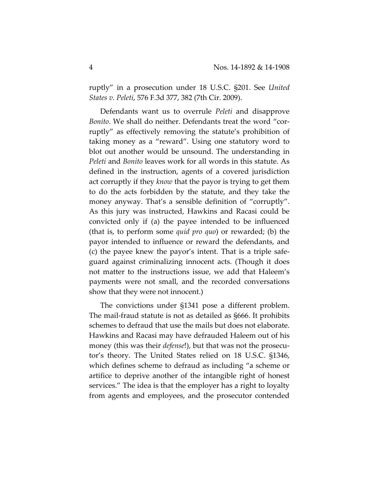ruptly" in a prosecution under 18 U.S.C. §201. See *United States v. Peleti*, 576 F.3d 377, 382 (7th Cir. 2009).

Defendants want us to overrule *Peleti* and disapprove *Bonito*. We shall do neither. Defendants treat the word "corruptly" as effectively removing the statute's prohibition of taking money as a "reward". Using one statutory word to blot out another would be unsound. The understanding in *Peleti* and *Bonito* leaves work for all words in this statute. As defined in the instruction, agents of a covered jurisdiction act corruptly if they *know* that the payor is trying to get them to do the acts forbidden by the statute, and they take the money anyway. That's a sensible definition of "corruptly". As this jury was instructed, Hawkins and Racasi could be convicted only if (a) the payee intended to be influenced (that is, to perform some *quid pro quo*) or rewarded; (b) the payor intended to influence or reward the defendants, and (c) the payee knew the payor's intent. That is a triple safeguard against criminalizing innocent acts. (Though it does not matter to the instructions issue, we add that Haleem's payments were not small, and the recorded conversations show that they were not innocent.)

The convictions under §1341 pose a different problem. The mail-fraud statute is not as detailed as §666. It prohibits schemes to defraud that use the mails but does not elaborate. Hawkins and Racasi may have defrauded Haleem out of his money (this was their *defense*!), but that was not the prosecutor's theory. The United States relied on 18 U.S.C. §1346, which defines scheme to defraud as including "a scheme or artifice to deprive another of the intangible right of honest services." The idea is that the employer has a right to loyalty from agents and employees, and the prosecutor contended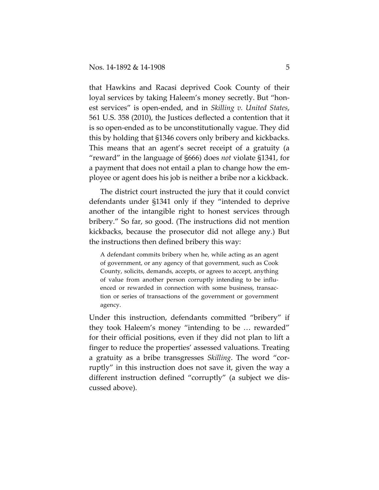that Hawkins and Racasi deprived Cook County of their loyal services by taking Haleem's money secretly. But "honest services" is open-ended, and in *Skilling v. United States*, 561 U.S. 358 (2010), the Justices deflected a contention that it is so open-ended as to be unconstitutionally vague. They did this by holding that §1346 covers only bribery and kickbacks. This means that an agent's secret receipt of a gratuity (a "reward" in the language of §666) does *not* violate §1341, for a payment that does not entail a plan to change how the employee or agent does his job is neither a bribe nor a kickback.

The district court instructed the jury that it could convict defendants under §1341 only if they "intended to deprive another of the intangible right to honest services through bribery." So far, so good. (The instructions did not mention kickbacks, because the prosecutor did not allege any.) But the instructions then defined bribery this way:

A defendant commits bribery when he, while acting as an agent of government, or any agency of that government, such as Cook County, solicits, demands, accepts, or agrees to accept, anything of value from another person corruptly intending to be influenced or rewarded in connection with some business, transaction or series of transactions of the government or government agency.

Under this instruction, defendants committed "bribery" if they took Haleem's money "intending to be … rewarded" for their official positions, even if they did not plan to lift a finger to reduce the properties' assessed valuations. Treating a gratuity as a bribe transgresses *Skilling*. The word "corruptly" in this instruction does not save it, given the way a different instruction defined "corruptly" (a subject we discussed above).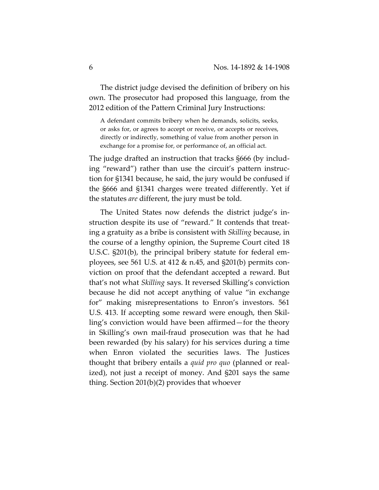The district judge devised the definition of bribery on his own. The prosecutor had proposed this language, from the 2012 edition of the Pattern Criminal Jury Instructions:

A defendant commits bribery when he demands, solicits, seeks, or asks for, or agrees to accept or receive, or accepts or receives, directly or indirectly, something of value from another person in exchange for a promise for, or performance of, an official act.

The judge drafted an instruction that tracks §666 (by including "reward") rather than use the circuit's pattern instruction for §1341 because, he said, the jury would be confused if the §666 and §1341 charges were treated differently. Yet if the statutes *are* different, the jury must be told.

The United States now defends the district judge's instruction despite its use of "reward." It contends that treating a gratuity as a bribe is consistent with *Skilling* because, in the course of a lengthy opinion, the Supreme Court cited 18 U.S.C. §201(b), the principal bribery statute for federal employees, see 561 U.S. at 412  $\&$  n.45, and §201(b) permits conviction on proof that the defendant accepted a reward. But that's not what *Skilling* says. It reversed Skilling's conviction because he did not accept anything of value "in exchange for" making misrepresentations to Enron's investors. 561 U.S. 413. If accepting some reward were enough, then Skilling's conviction would have been affirmed—for the theory in Skilling's own mail-fraud prosecution was that he had been rewarded (by his salary) for his services during a time when Enron violated the securities laws. The Justices thought that bribery entails a *quid pro quo* (planned or realized), not just a receipt of money. And §201 says the same thing. Section 201(b)(2) provides that whoever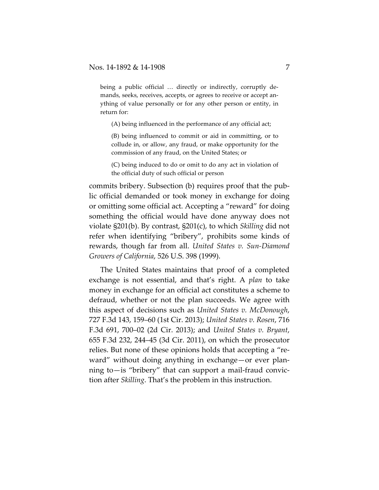being a public official … directly or indirectly, corruptly demands, seeks, receives, accepts, or agrees to receive or accept anything of value personally or for any other person or entity, in return for:

(A) being influenced in the performance of any official act;

(B) being influenced to commit or aid in committing, or to collude in, or allow, any fraud, or make opportunity for the commission of any fraud, on the United States; or

(C) being induced to do or omit to do any act in violation of the official duty of such official or person

commits bribery. Subsection (b) requires proof that the public official demanded or took money in exchange for doing or omitting some official act. Accepting a "reward" for doing something the official would have done anyway does not violate §201(b). By contrast, §201(c), to which *Skilling* did not refer when identifying "bribery", prohibits some kinds of rewards, though far from all. *United States v. Sun-Diamond Growers of California*, 526 U.S. 398 (1999).

The United States maintains that proof of a completed exchange is not essential, and that's right. A *plan* to take money in exchange for an official act constitutes a scheme to defraud, whether or not the plan succeeds. We agree with this aspect of decisions such as *United States v. McDonough*, 727 F.3d 143, 159–60 (1st Cir. 2013); *United States v. Rosen*, 716 F.3d 691, 700–02 (2d Cir. 2013); and *United States v. Bryant*, 655 F.3d 232, 244–45 (3d Cir. 2011), on which the prosecutor relies. But none of these opinions holds that accepting a "reward" without doing anything in exchange—or ever planning to—is "bribery" that can support a mail-fraud conviction after *Skilling*. That's the problem in this instruction.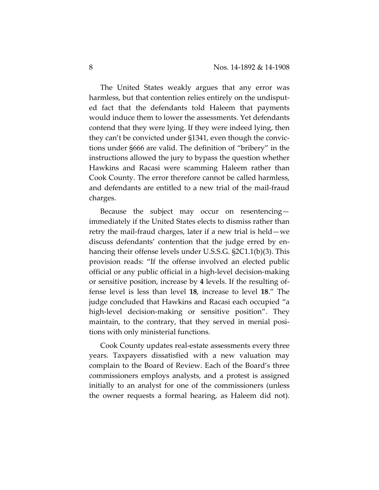The United States weakly argues that any error was harmless, but that contention relies entirely on the undisputed fact that the defendants told Haleem that payments would induce them to lower the assessments. Yet defendants contend that they were lying. If they were indeed lying, then they can't be convicted under §1341, even though the convictions under §666 are valid. The definition of "bribery" in the instructions allowed the jury to bypass the question whether Hawkins and Racasi were scamming Haleem rather than Cook County. The error therefore cannot be called harmless, and defendants are entitled to a new trial of the mail-fraud charges.

Because the subject may occur on resentencing immediately if the United States elects to dismiss rather than retry the mail-fraud charges, later if a new trial is held—we discuss defendants' contention that the judge erred by enhancing their offense levels under U.S.S.G. §2C1.1(b)(3). This provision reads: "If the offense involved an elected public official or any public official in a high-level decision-making or sensitive position, increase by **4** levels. If the resulting offense level is less than level **18**, increase to level **18**." The judge concluded that Hawkins and Racasi each occupied "a high-level decision-making or sensitive position". They maintain, to the contrary, that they served in menial positions with only ministerial functions.

Cook County updates real-estate assessments every three years. Taxpayers dissatisfied with a new valuation may complain to the Board of Review. Each of the Board's three commissioners employs analysts, and a protest is assigned initially to an analyst for one of the commissioners (unless the owner requests a formal hearing, as Haleem did not).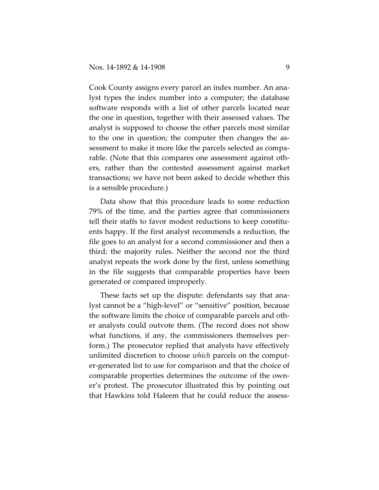Cook County assigns every parcel an index number. An analyst types the index number into a computer; the database software responds with a list of other parcels located near the one in question, together with their assessed values. The analyst is supposed to choose the other parcels most similar to the one in question; the computer then changes the assessment to make it more like the parcels selected as comparable. (Note that this compares one assessment against others, rather than the contested assessment against market transactions; we have not been asked to decide whether this is a sensible procedure.)

Data show that this procedure leads to some reduction 79% of the time, and the parties agree that commissioners tell their staffs to favor modest reductions to keep constituents happy. If the first analyst recommends a reduction, the file goes to an analyst for a second commissioner and then a third; the majority rules. Neither the second nor the third analyst repeats the work done by the first, unless something in the file suggests that comparable properties have been generated or compared improperly.

These facts set up the dispute: defendants say that analyst cannot be a "high-level" or "sensitive" position, because the software limits the choice of comparable parcels and other analysts could outvote them. (The record does not show what functions, if any, the commissioners themselves perform.) The prosecutor replied that analysts have effectively unlimited discretion to choose *which* parcels on the computer-generated list to use for comparison and that the choice of comparable properties determines the outcome of the owner's protest. The prosecutor illustrated this by pointing out that Hawkins told Haleem that he could reduce the assess